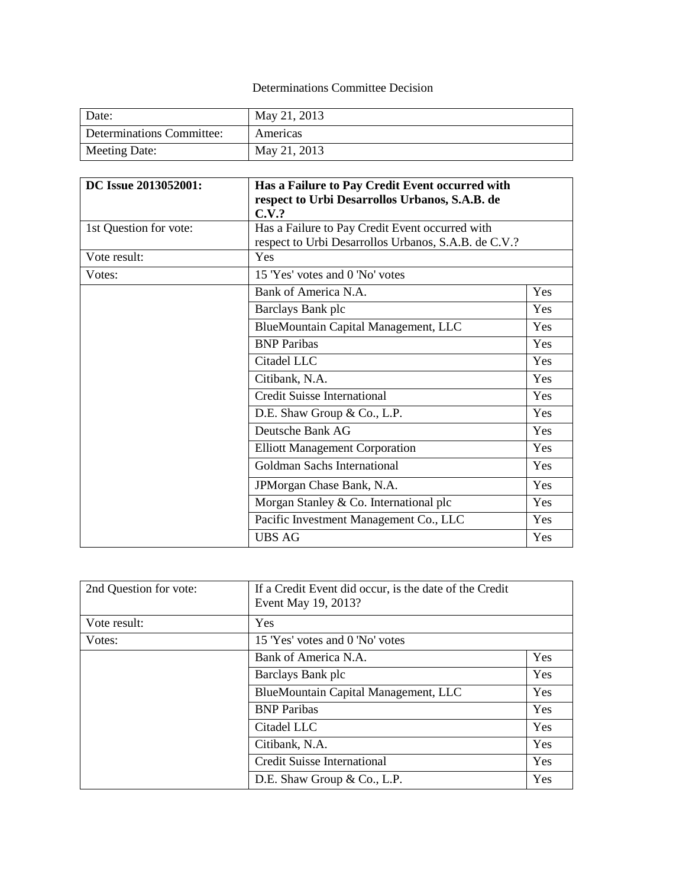## Determinations Committee Decision

| Date:                     | May 21, 2013 |
|---------------------------|--------------|
| Determinations Committee: | Americas     |
| Meeting Date:             | May 21, 2013 |

| DC Issue 2013052001:   | Has a Failure to Pay Credit Event occurred with      |     |
|------------------------|------------------------------------------------------|-----|
|                        | respect to Urbi Desarrollos Urbanos, S.A.B. de       |     |
|                        | C.V.?                                                |     |
| 1st Question for vote: | Has a Failure to Pay Credit Event occurred with      |     |
|                        | respect to Urbi Desarrollos Urbanos, S.A.B. de C.V.? |     |
| Vote result:           | Yes                                                  |     |
| Votes:                 | 15 'Yes' votes and 0 'No' votes                      |     |
|                        | Bank of America N.A.                                 | Yes |
|                        | Barclays Bank plc                                    | Yes |
|                        | BlueMountain Capital Management, LLC                 | Yes |
|                        | <b>BNP Paribas</b>                                   | Yes |
|                        | Citadel LLC                                          | Yes |
|                        | Citibank, N.A.                                       | Yes |
|                        | <b>Credit Suisse International</b>                   | Yes |
|                        | D.E. Shaw Group & Co., L.P.                          | Yes |
|                        | Deutsche Bank AG                                     | Yes |
|                        | <b>Elliott Management Corporation</b>                | Yes |
|                        | Goldman Sachs International                          | Yes |
|                        | JPMorgan Chase Bank, N.A.                            | Yes |
|                        | Morgan Stanley & Co. International plc               | Yes |
|                        | Pacific Investment Management Co., LLC               | Yes |
|                        | <b>UBS AG</b>                                        | Yes |

| 2nd Question for vote: | If a Credit Event did occur, is the date of the Credit<br>Event May 19, 2013? |     |
|------------------------|-------------------------------------------------------------------------------|-----|
|                        |                                                                               |     |
| Vote result:           | Yes                                                                           |     |
| Votes:                 | 15 'Yes' votes and 0 'No' votes                                               |     |
|                        | Bank of America N.A.                                                          | Yes |
|                        | Barclays Bank plc                                                             | Yes |
|                        | BlueMountain Capital Management, LLC                                          | Yes |
|                        | <b>BNP</b> Paribas                                                            | Yes |
|                        | Citadel LLC                                                                   | Yes |
|                        | Citibank, N.A.                                                                | Yes |
|                        | Credit Suisse International                                                   | Yes |
|                        | D.E. Shaw Group & Co., L.P.                                                   | Yes |